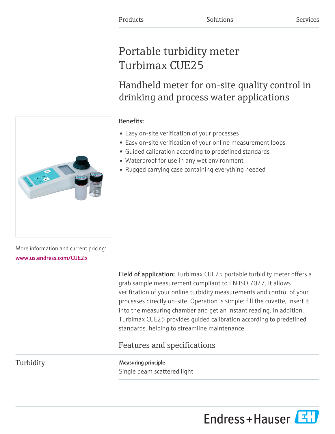# Portable turbidity meter Turbimax CUE25

Handheld meter for on-site quality control in drinking and process water applications



- Easy on-site verification of your processes
- Easy on-site verification of your online measurement loops
- Guided calibration according to predefined standards
- Waterproof for use in any wet environment
- Rugged carrying case containing everything needed

More information and current pricing: [www.us.endress.com/CUE25](https://www.us.endress.com/CUE25)

> Field of application: Turbimax CUE25 portable turbidity meter offers a grab sample measurement compliant to EN ISO 7027. It allows verification of your online turbidity measurements and control of your processes directly on-site. Operation is simple: fill the cuvette, insert it into the measuring chamber and get an instant reading. In addition, Turbimax CUE25 provides guided calibration according to predefined standards, helping to streamline maintenance.

# Features and specifications

Turbidity Measuring principle

Single beam scattered light



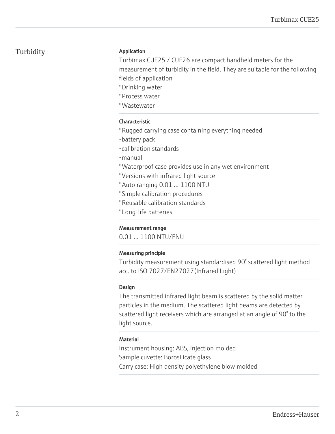## Turbidity **Application**

Turbimax CUE25 / CUE26 are compact handheld meters for the measurement of turbidity in the field. They are suitable for the following fields of application

- " Drinking water
- " Process water
- " Wastewater

### Characteristic

- " Rugged carrying case containing everything needed
- -battery pack
- -calibration standards
- -manual
- " Waterproof case provides use in any wet environment
- " Versions with infrared light source
- " Auto ranging 0.01 ... 1100 NTU
- " Simple calibration procedures
- " Reusable calibration standards
- " Long-life batteries

#### Measurement range

0.01 ... 1100 NTU/FNU

#### Measuring principle

Turbidity measurement using standardised 90° scattered light method acc. to ISO 7027/EN27027(Infrared Light)

#### Design

The transmitted infrared light beam is scattered by the solid matter particles in the medium. The scattered light beams are detected by scattered light receivers which are arranged at an angle of 90° to the light source.

#### **Material**

Instrument housing: ABS, injection molded Sample cuvette: Borosilicate glass Carry case: High density polyethylene blow molded